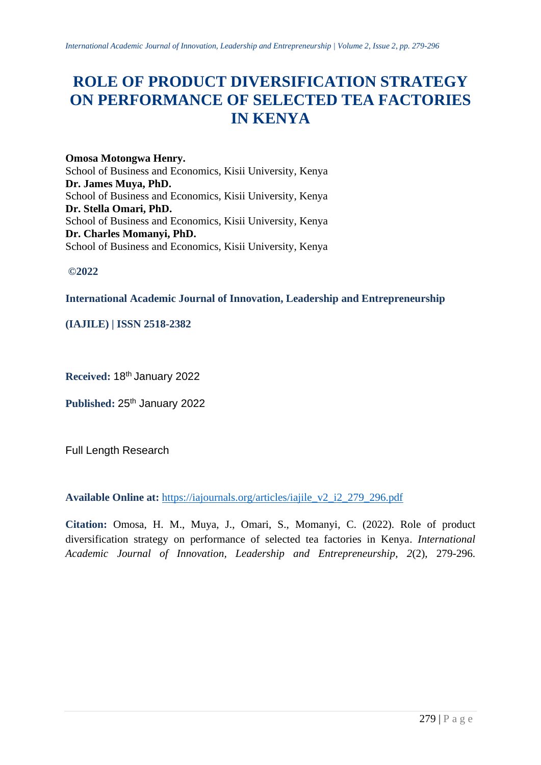# **ROLE OF PRODUCT DIVERSIFICATION STRATEGY ON PERFORMANCE OF SELECTED TEA FACTORIES IN KENYA**

**Omosa Motongwa Henry.** School of Business and Economics, Kisii University, Kenya **Dr. James Muya, PhD.** School of Business and Economics, Kisii University, Kenya **Dr. Stella Omari, PhD.** School of Business and Economics, Kisii University, Kenya **Dr. Charles Momanyi, PhD.** School of Business and Economics, Kisii University, Kenya

**©2022**

# **International Academic Journal of Innovation, Leadership and Entrepreneurship**

**(IAJILE) | ISSN 2518-2382**

**Received:** 18th January 2022

Published: 25<sup>th</sup> January 2022

Full Length Research

**Available Online at:** [https://iajournals.org/articles/iajile\\_v2\\_i2\\_279\\_296.pdf](https://iajournals.org/articles/iajile_v2_i2_279_296.pdf)

**Citation:** Omosa, H. M., Muya, J., Omari, S., Momanyi, C. (2022). Role of product diversification strategy on performance of selected tea factories in Kenya. *International Academic Journal of Innovation, Leadership and Entrepreneurship, 2*(2), 279-296.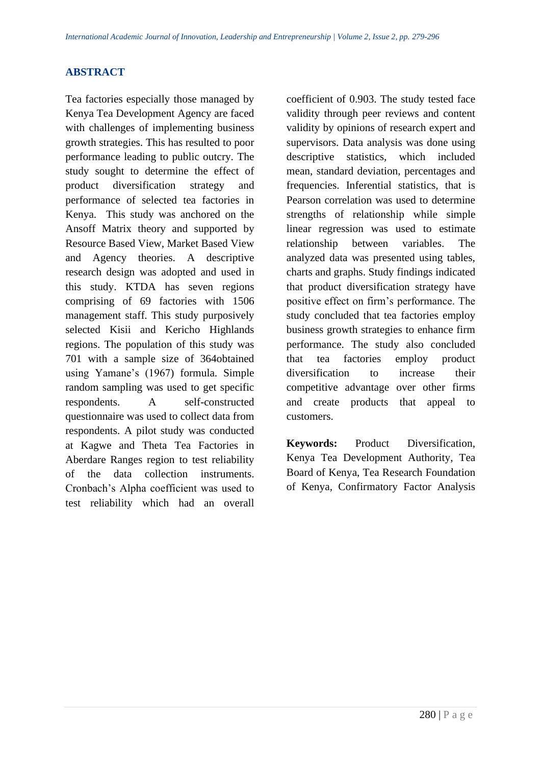## **ABSTRACT**

Tea factories especially those managed by Kenya Tea Development Agency are faced with challenges of implementing business growth strategies. This has resulted to poor performance leading to public outcry. The study sought to determine the effect of product diversification strategy and performance of selected tea factories in Kenya. This study was anchored on the Ansoff Matrix theory and supported by Resource Based View, Market Based View and Agency theories. A descriptive research design was adopted and used in this study. KTDA has seven regions comprising of 69 factories with 1506 management staff. This study purposively selected Kisii and Kericho Highlands regions. The population of this study was 701 with a sample size of 364obtained using Yamane's (1967) formula. Simple random sampling was used to get specific respondents. A self-constructed questionnaire was used to collect data from respondents. A pilot study was conducted at Kagwe and Theta Tea Factories in Aberdare Ranges region to test reliability of the data collection instruments. Cronbach's Alpha coefficient was used to test reliability which had an overall coefficient of 0.903. The study tested face validity through peer reviews and content validity by opinions of research expert and supervisors. Data analysis was done using descriptive statistics, which included mean, standard deviation, percentages and frequencies. Inferential statistics, that is Pearson correlation was used to determine strengths of relationship while simple linear regression was used to estimate relationship between variables. The analyzed data was presented using tables, charts and graphs. Study findings indicated that product diversification strategy have positive effect on firm's performance. The study concluded that tea factories employ business growth strategies to enhance firm performance. The study also concluded that tea factories employ product diversification to increase their competitive advantage over other firms and create products that appeal to customers.

**Keywords:** Product Diversification, Kenya Tea Development Authority, Tea Board of Kenya, Tea Research Foundation of Kenya, Confirmatory Factor Analysis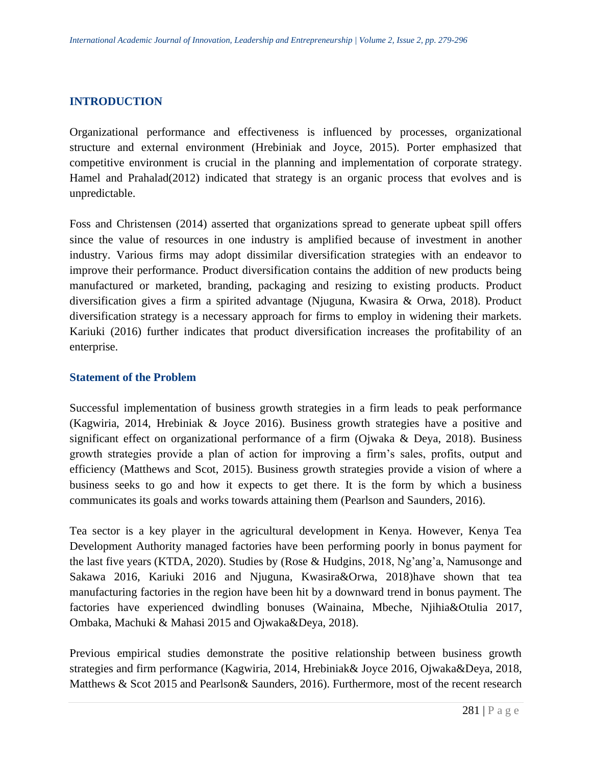## **INTRODUCTION**

Organizational performance and effectiveness is influenced by processes, organizational structure and external environment (Hrebiniak and Joyce, 2015). Porter emphasized that competitive environment is crucial in the planning and implementation of corporate strategy. Hamel and Prahalad(2012) indicated that strategy is an organic process that evolves and is unpredictable.

Foss and Christensen (2014) asserted that organizations spread to generate upbeat spill offers since the value of resources in one industry is amplified because of investment in another industry. Various firms may adopt dissimilar diversification strategies with an endeavor to improve their performance. Product diversification contains the addition of new products being manufactured or marketed, branding, packaging and resizing to existing products. Product diversification gives a firm a spirited advantage (Njuguna, Kwasira & Orwa, 2018). Product diversification strategy is a necessary approach for firms to employ in widening their markets. Kariuki (2016) further indicates that product diversification increases the profitability of an enterprise.

#### **Statement of the Problem**

Successful implementation of business growth strategies in a firm leads to peak performance (Kagwiria, 2014, Hrebiniak & Joyce 2016). Business growth strategies have a positive and significant effect on organizational performance of a firm (Ojwaka & Deya, 2018). Business growth strategies provide a plan of action for improving a firm's sales, profits, output and efficiency (Matthews and Scot, 2015). Business growth strategies provide a vision of where a business seeks to go and how it expects to get there. It is the form by which a business communicates its goals and works towards attaining them (Pearlson and Saunders, 2016).

Tea sector is a key player in the agricultural development in Kenya. However, Kenya Tea Development Authority managed factories have been performing poorly in bonus payment for the last five years (KTDA, 2020). Studies by (Rose & Hudgins, 2018, Ng'ang'a, Namusonge and Sakawa 2016, Kariuki 2016 and Njuguna, Kwasira&Orwa, 2018)have shown that tea manufacturing factories in the region have been hit by a downward trend in bonus payment. The factories have experienced dwindling bonuses (Wainaina, Mbeche, Njihia&Otulia 2017, Ombaka, Machuki & Mahasi 2015 and Ojwaka&Deya, 2018).

Previous empirical studies demonstrate the positive relationship between business growth strategies and firm performance (Kagwiria, 2014, Hrebiniak& Joyce 2016, Ojwaka&Deya, 2018, Matthews & Scot 2015 and Pearlson& Saunders, 2016). Furthermore, most of the recent research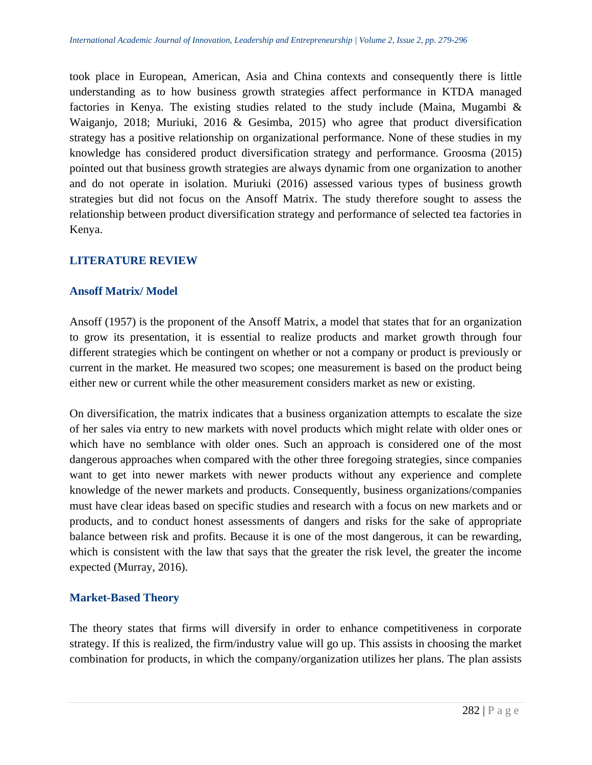took place in European, American, Asia and China contexts and consequently there is little understanding as to how business growth strategies affect performance in KTDA managed factories in Kenya. The existing studies related to the study include (Maina, Mugambi  $\&$ Waiganjo, 2018; Muriuki, 2016 & Gesimba, 2015) who agree that product diversification strategy has a positive relationship on organizational performance. None of these studies in my knowledge has considered product diversification strategy and performance. Groosma (2015) pointed out that business growth strategies are always dynamic from one organization to another and do not operate in isolation. Muriuki (2016) assessed various types of business growth strategies but did not focus on the Ansoff Matrix. The study therefore sought to assess the relationship between product diversification strategy and performance of selected tea factories in Kenya.

## **LITERATURE REVIEW**

#### **Ansoff Matrix/ Model**

Ansoff (1957) is the proponent of the Ansoff Matrix, a model that states that for an organization to grow its presentation, it is essential to realize products and market growth through four different strategies which be contingent on whether or not a company or product is previously or current in the market. He measured two scopes; one measurement is based on the product being either new or current while the other measurement considers market as new or existing.

On diversification, the matrix indicates that a business organization attempts to escalate the size of her sales via entry to new markets with novel products which might relate with older ones or which have no semblance with older ones. Such an approach is considered one of the most dangerous approaches when compared with the other three foregoing strategies, since companies want to get into newer markets with newer products without any experience and complete knowledge of the newer markets and products. Consequently, business organizations/companies must have clear ideas based on specific studies and research with a focus on new markets and or products, and to conduct honest assessments of dangers and risks for the sake of appropriate balance between risk and profits. Because it is one of the most dangerous, it can be rewarding, which is consistent with the law that says that the greater the risk level, the greater the income expected (Murray, 2016).

## **Market-Based Theory**

The theory states that firms will diversify in order to enhance competitiveness in corporate strategy. If this is realized, the firm/industry value will go up. This assists in choosing the market combination for products, in which the company/organization utilizes her plans. The plan assists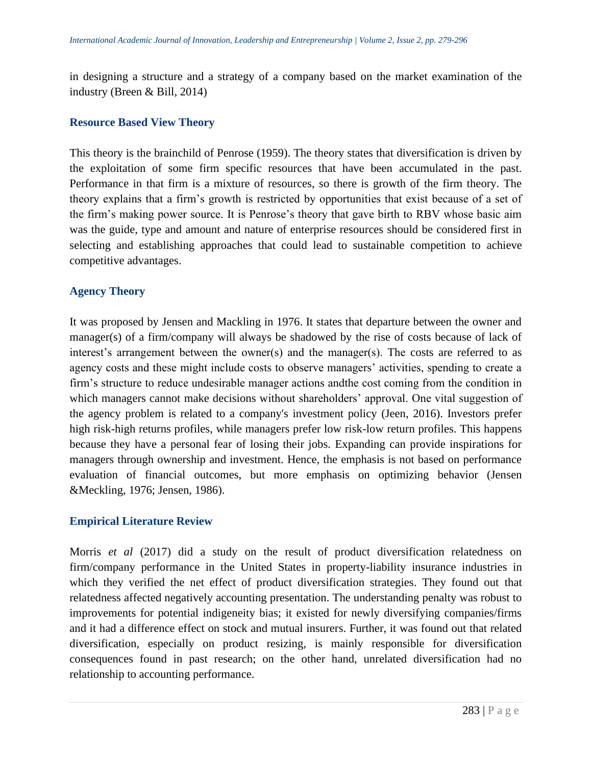in designing a structure and a strategy of a company based on the market examination of the industry (Breen & Bill, 2014)

#### **Resource Based View Theory**

This theory is the brainchild of Penrose (1959). The theory states that diversification is driven by the exploitation of some firm specific resources that have been accumulated in the past. Performance in that firm is a mixture of resources, so there is growth of the firm theory. The theory explains that a firm's growth is restricted by opportunities that exist because of a set of the firm's making power source. It is Penrose's theory that gave birth to RBV whose basic aim was the guide, type and amount and nature of enterprise resources should be considered first in selecting and establishing approaches that could lead to sustainable competition to achieve competitive advantages.

## **Agency Theory**

It was proposed by Jensen and Mackling in 1976. It states that departure between the owner and manager(s) of a firm/company will always be shadowed by the rise of costs because of lack of interest's arrangement between the owner(s) and the manager(s). The costs are referred to as agency costs and these might include costs to observe managers' activities, spending to create a firm's structure to reduce undesirable manager actions andthe cost coming from the condition in which managers cannot make decisions without shareholders' approval. One vital suggestion of the agency problem is related to a company's investment policy (Jeen, 2016). Investors prefer high risk-high returns profiles, while managers prefer low risk-low return profiles. This happens because they have a personal fear of losing their jobs. Expanding can provide inspirations for managers through ownership and investment. Hence, the emphasis is not based on performance evaluation of financial outcomes, but more emphasis on optimizing behavior (Jensen &Meckling, 1976; Jensen, 1986).

## **Empirical Literature Review**

Morris *et al* (2017) did a study on the result of product diversification relatedness on firm/company performance in the United States in property-liability insurance industries in which they verified the net effect of product diversification strategies. They found out that relatedness affected negatively accounting presentation. The understanding penalty was robust to improvements for potential indigeneity bias; it existed for newly diversifying companies/firms and it had a difference effect on stock and mutual insurers. Further, it was found out that related diversification, especially on product resizing, is mainly responsible for diversification consequences found in past research; on the other hand, unrelated diversification had no relationship to accounting performance.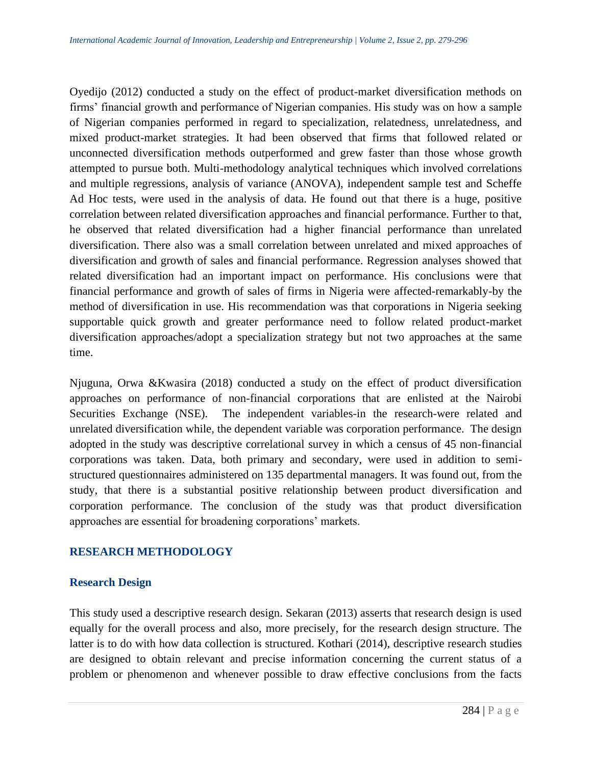Oyedijo (2012) conducted a study on the effect of product-market diversification methods on firms' financial growth and performance of Nigerian companies. His study was on how a sample of Nigerian companies performed in regard to specialization, relatedness, unrelatedness, and mixed product-market strategies. It had been observed that firms that followed related or unconnected diversification methods outperformed and grew faster than those whose growth attempted to pursue both. Multi-methodology analytical techniques which involved correlations and multiple regressions, analysis of variance (ANOVA), independent sample test and Scheffe Ad Hoc tests, were used in the analysis of data. He found out that there is a huge, positive correlation between related diversification approaches and financial performance. Further to that, he observed that related diversification had a higher financial performance than unrelated diversification. There also was a small correlation between unrelated and mixed approaches of diversification and growth of sales and financial performance. Regression analyses showed that related diversification had an important impact on performance. His conclusions were that financial performance and growth of sales of firms in Nigeria were affected-remarkably-by the method of diversification in use. His recommendation was that corporations in Nigeria seeking supportable quick growth and greater performance need to follow related product-market diversification approaches/adopt a specialization strategy but not two approaches at the same time.

Njuguna, Orwa &Kwasira (2018) conducted a study on the effect of product diversification approaches on performance of non-financial corporations that are enlisted at the Nairobi Securities Exchange (NSE). The independent variables-in the research-were related and unrelated diversification while, the dependent variable was corporation performance. The design adopted in the study was descriptive correlational survey in which a census of 45 non-financial corporations was taken. Data, both primary and secondary, were used in addition to semistructured questionnaires administered on 135 departmental managers. It was found out, from the study, that there is a substantial positive relationship between product diversification and corporation performance. The conclusion of the study was that product diversification approaches are essential for broadening corporations' markets.

# **RESEARCH METHODOLOGY**

## **Research Design**

This study used a descriptive research design. Sekaran (2013) asserts that research design is used equally for the overall process and also, more precisely, for the research design structure. The latter is to do with how data collection is structured. Kothari (2014), descriptive research studies are designed to obtain relevant and precise information concerning the current status of a problem or phenomenon and whenever possible to draw effective conclusions from the facts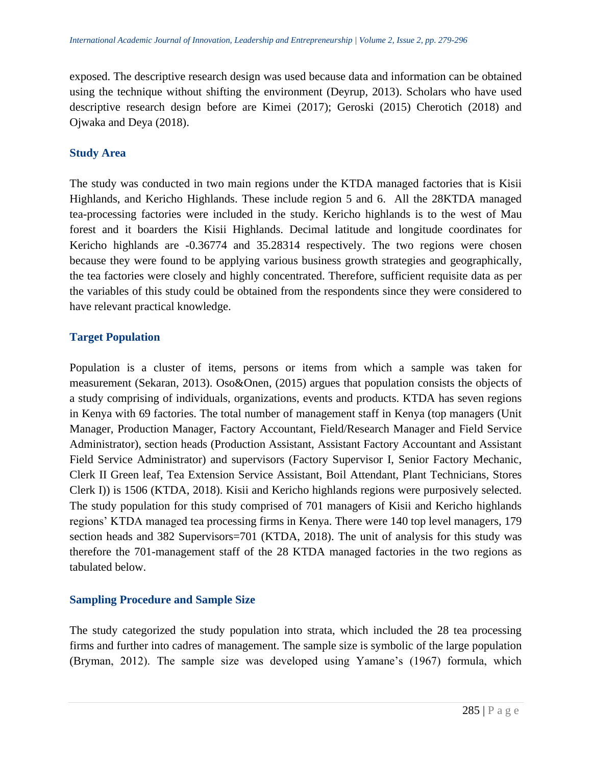exposed. The descriptive research design was used because data and information can be obtained using the technique without shifting the environment (Deyrup, 2013). Scholars who have used descriptive research design before are Kimei (2017); Geroski (2015) Cherotich (2018) and Ojwaka and Deya (2018).

## **Study Area**

The study was conducted in two main regions under the KTDA managed factories that is Kisii Highlands, and Kericho Highlands. These include region 5 and 6. All the 28KTDA managed tea-processing factories were included in the study. Kericho highlands is to the west of Mau forest and it boarders the Kisii Highlands. Decimal latitude and longitude coordinates for Kericho highlands are -0.36774 and 35.28314 respectively. The two regions were chosen because they were found to be applying various business growth strategies and geographically, the tea factories were closely and highly concentrated. Therefore, sufficient requisite data as per the variables of this study could be obtained from the respondents since they were considered to have relevant practical knowledge.

# **Target Population**

Population is a cluster of items, persons or items from which a sample was taken for measurement (Sekaran, 2013). Oso&Onen, (2015) argues that population consists the objects of a study comprising of individuals, organizations, events and products. KTDA has seven regions in Kenya with 69 factories. The total number of management staff in Kenya (top managers (Unit Manager, Production Manager, Factory Accountant, Field/Research Manager and Field Service Administrator), section heads (Production Assistant, Assistant Factory Accountant and Assistant Field Service Administrator) and supervisors (Factory Supervisor I, Senior Factory Mechanic, Clerk II Green leaf, Tea Extension Service Assistant, Boil Attendant, Plant Technicians, Stores Clerk I)) is 1506 (KTDA, 2018). Kisii and Kericho highlands regions were purposively selected. The study population for this study comprised of 701 managers of Kisii and Kericho highlands regions' KTDA managed tea processing firms in Kenya. There were 140 top level managers, 179 section heads and 382 Supervisors=701 (KTDA, 2018). The unit of analysis for this study was therefore the 701-management staff of the 28 KTDA managed factories in the two regions as tabulated below.

# **Sampling Procedure and Sample Size**

The study categorized the study population into strata, which included the 28 tea processing firms and further into cadres of management. The sample size is symbolic of the large population (Bryman, 2012). The sample size was developed using Yamane's (1967) formula, which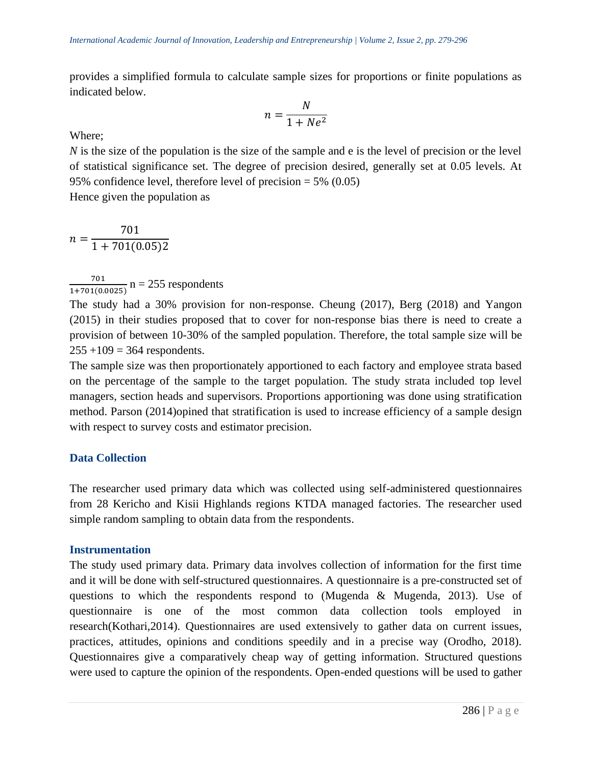provides a simplified formula to calculate sample sizes for proportions or finite populations as indicated below.

$$
n = \frac{N}{1 + Ne^2}
$$

Where;

*N* is the size of the population is the size of the sample and e is the level of precision or the level of statistical significance set. The degree of precision desired, generally set at 0.05 levels. At 95% confidence level, therefore level of precision  $= 5\% (0.05)$ 

Hence given the population as

$$
n = \frac{701}{1 + 701(0.05)2}
$$

701  $\frac{701}{1+701(0.0025)}$  n = 255 respondents

The study had a 30% provision for non-response. Cheung (2017), Berg (2018) and Yangon (2015) in their studies proposed that to cover for non-response bias there is need to create a provision of between 10-30% of the sampled population. Therefore, the total sample size will be  $255 + 109 = 364$  respondents.

The sample size was then proportionately apportioned to each factory and employee strata based on the percentage of the sample to the target population. The study strata included top level managers, section heads and supervisors. Proportions apportioning was done using stratification method. Parson (2014)opined that stratification is used to increase efficiency of a sample design with respect to survey costs and estimator precision.

## **Data Collection**

The researcher used primary data which was collected using self-administered questionnaires from 28 Kericho and Kisii Highlands regions KTDA managed factories. The researcher used simple random sampling to obtain data from the respondents.

#### **Instrumentation**

The study used primary data. Primary data involves collection of information for the first time and it will be done with self-structured questionnaires. A questionnaire is a pre-constructed set of questions to which the respondents respond to (Mugenda & Mugenda, 2013). Use of questionnaire is one of the most common data collection tools employed in research(Kothari,2014). Questionnaires are used extensively to gather data on current issues, practices, attitudes, opinions and conditions speedily and in a precise way (Orodho, 2018). Questionnaires give a comparatively cheap way of getting information. Structured questions were used to capture the opinion of the respondents. Open-ended questions will be used to gather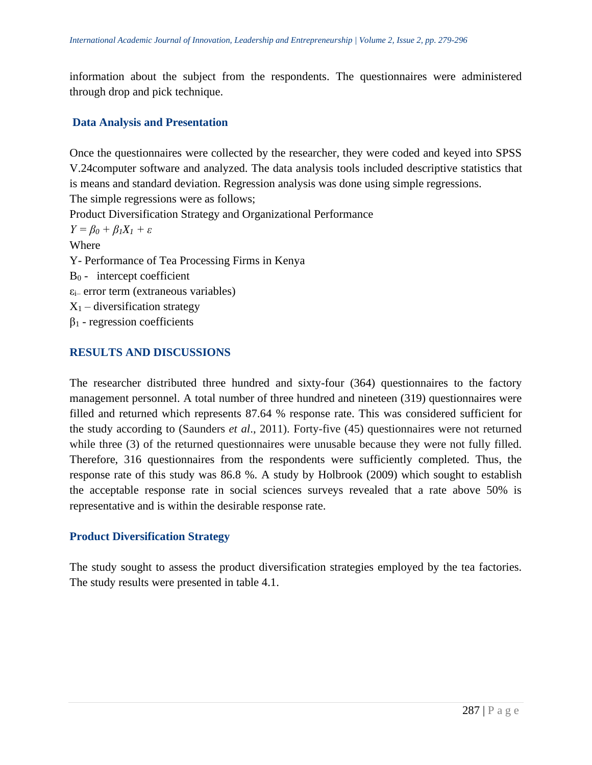information about the subject from the respondents. The questionnaires were administered through drop and pick technique.

## **Data Analysis and Presentation**

Once the questionnaires were collected by the researcher, they were coded and keyed into SPSS V.24computer software and analyzed. The data analysis tools included descriptive statistics that is means and standard deviation. Regression analysis was done using simple regressions. The simple regressions were as follows; Product Diversification Strategy and Organizational Performance *Y = β<sup>0</sup> + β1X<sup>1</sup> + ε* Where Y- Performance of Tea Processing Firms in Kenya  $B_0$  - intercept coefficient  $\varepsilon$ <sub>i</sub> error term (extraneous variables)  $X_1$  – diversification strategy  $β<sub>1</sub>$  - regression coefficients

## **RESULTS AND DISCUSSIONS**

The researcher distributed three hundred and sixty-four (364) questionnaires to the factory management personnel. A total number of three hundred and nineteen (319) questionnaires were filled and returned which represents 87.64 % response rate. This was considered sufficient for the study according to (Saunders *et al*., 2011). Forty-five (45) questionnaires were not returned while three (3) of the returned questionnaires were unusable because they were not fully filled. Therefore, 316 questionnaires from the respondents were sufficiently completed. Thus, the response rate of this study was 86.8 %. A study by Holbrook (2009) which sought to establish the acceptable response rate in social sciences surveys revealed that a rate above 50% is representative and is within the desirable response rate.

## **Product Diversification Strategy**

The study sought to assess the product diversification strategies employed by the tea factories. The study results were presented in table 4.1.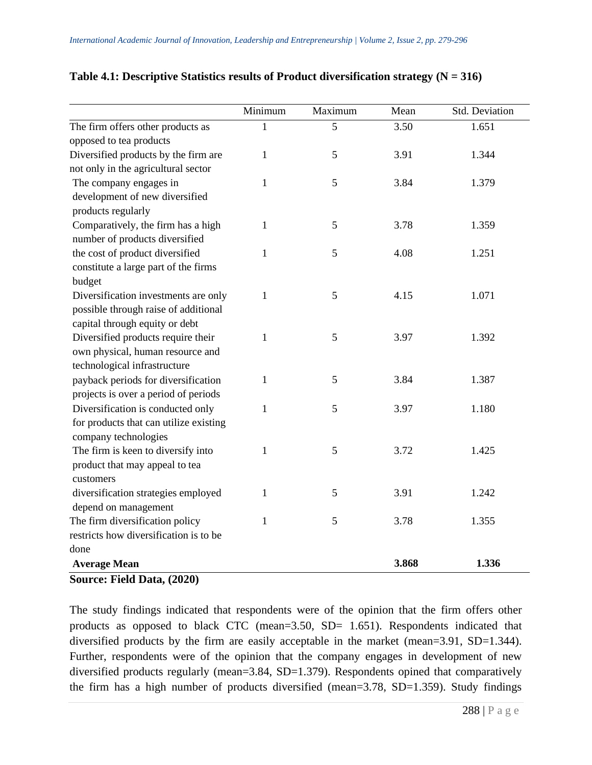|                                        | Minimum      | Maximum | Mean  | Std. Deviation |
|----------------------------------------|--------------|---------|-------|----------------|
| The firm offers other products as      | 1            | 5       | 3.50  | 1.651          |
| opposed to tea products                |              |         |       |                |
| Diversified products by the firm are   | $\mathbf{1}$ | 5       | 3.91  | 1.344          |
| not only in the agricultural sector    |              |         |       |                |
| The company engages in                 | $\mathbf{1}$ | 5       | 3.84  | 1.379          |
| development of new diversified         |              |         |       |                |
| products regularly                     |              |         |       |                |
| Comparatively, the firm has a high     | 1            | 5       | 3.78  | 1.359          |
| number of products diversified         |              |         |       |                |
| the cost of product diversified        | $\mathbf{1}$ | 5       | 4.08  | 1.251          |
| constitute a large part of the firms   |              |         |       |                |
| budget                                 |              |         |       |                |
| Diversification investments are only   | 1            | 5       | 4.15  | 1.071          |
| possible through raise of additional   |              |         |       |                |
| capital through equity or debt         |              |         |       |                |
| Diversified products require their     | $\mathbf{1}$ | 5       | 3.97  | 1.392          |
| own physical, human resource and       |              |         |       |                |
| technological infrastructure           |              |         |       |                |
| payback periods for diversification    | $\mathbf{1}$ | 5       | 3.84  | 1.387          |
| projects is over a period of periods   |              |         |       |                |
| Diversification is conducted only      | 1            | 5       | 3.97  | 1.180          |
| for products that can utilize existing |              |         |       |                |
| company technologies                   |              |         |       |                |
| The firm is keen to diversify into     | 1            | 5       | 3.72  | 1.425          |
| product that may appeal to tea         |              |         |       |                |
| customers                              |              |         |       |                |
| diversification strategies employed    | 1            | 5       | 3.91  | 1.242          |
| depend on management                   |              |         |       |                |
| The firm diversification policy        | 1            | 5       | 3.78  | 1.355          |
| restricts how diversification is to be |              |         |       |                |
| done                                   |              |         |       |                |
| <b>Average Mean</b>                    |              |         | 3.868 | 1.336          |

# **Table 4.1: Descriptive Statistics results of Product diversification strategy (N = 316)**

**Source: Field Data, (2020)**

The study findings indicated that respondents were of the opinion that the firm offers other products as opposed to black CTC (mean=3.50, SD= 1.651). Respondents indicated that diversified products by the firm are easily acceptable in the market (mean=3.91, SD=1.344). Further, respondents were of the opinion that the company engages in development of new diversified products regularly (mean=3.84, SD=1.379). Respondents opined that comparatively the firm has a high number of products diversified (mean= $3.78$ , SD= $1.359$ ). Study findings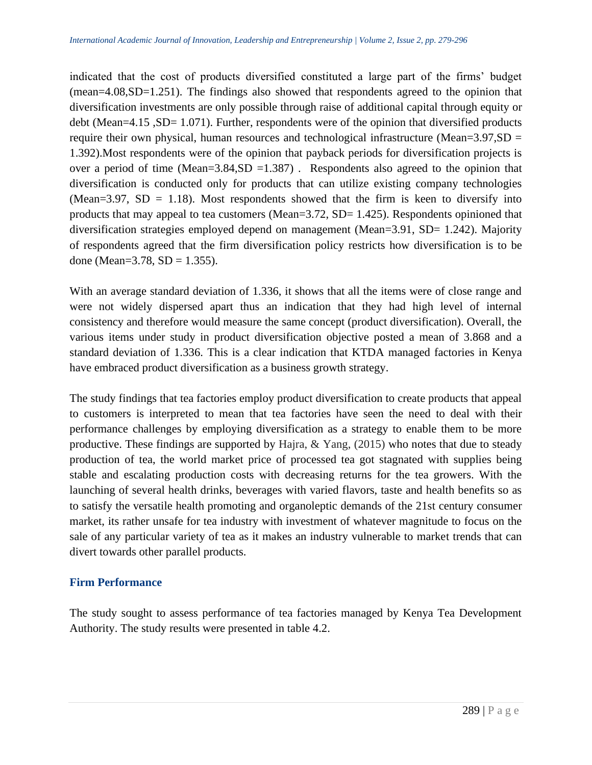indicated that the cost of products diversified constituted a large part of the firms' budget (mean=4.08,SD=1.251). The findings also showed that respondents agreed to the opinion that diversification investments are only possible through raise of additional capital through equity or debt (Mean=4.15, SD= 1.071). Further, respondents were of the opinion that diversified products require their own physical, human resources and technological infrastructure (Mean= $3.97$ , SD = 1.392).Most respondents were of the opinion that payback periods for diversification projects is over a period of time (Mean=3.84, SD = 1.387). Respondents also agreed to the opinion that diversification is conducted only for products that can utilize existing company technologies (Mean=3.97, SD = 1.18). Most respondents showed that the firm is keen to diversify into products that may appeal to tea customers (Mean= $3.72$ , SD=  $1.425$ ). Respondents opinioned that diversification strategies employed depend on management (Mean=3.91, SD= 1.242). Majority of respondents agreed that the firm diversification policy restricts how diversification is to be done (Mean= $3.78$ , SD = 1.355).

With an average standard deviation of 1.336, it shows that all the items were of close range and were not widely dispersed apart thus an indication that they had high level of internal consistency and therefore would measure the same concept (product diversification). Overall, the various items under study in product diversification objective posted a mean of 3.868 and a standard deviation of 1.336. This is a clear indication that KTDA managed factories in Kenya have embraced product diversification as a business growth strategy.

The study findings that tea factories employ product diversification to create products that appeal to customers is interpreted to mean that tea factories have seen the need to deal with their performance challenges by employing diversification as a strategy to enable them to be more productive. These findings are supported by Hajra,  $\&$  Yang, (2015) who notes that due to steady production of tea, the world market price of processed tea got stagnated with supplies being stable and escalating production costs with decreasing returns for the tea growers. With the launching of several health drinks, beverages with varied flavors, taste and health benefits so as to satisfy the versatile health promoting and organoleptic demands of the 21st century consumer market, its rather unsafe for tea industry with investment of whatever magnitude to focus on the sale of any particular variety of tea as it makes an industry vulnerable to market trends that can divert towards other parallel products.

# **Firm Performance**

The study sought to assess performance of tea factories managed by Kenya Tea Development Authority. The study results were presented in table 4.2.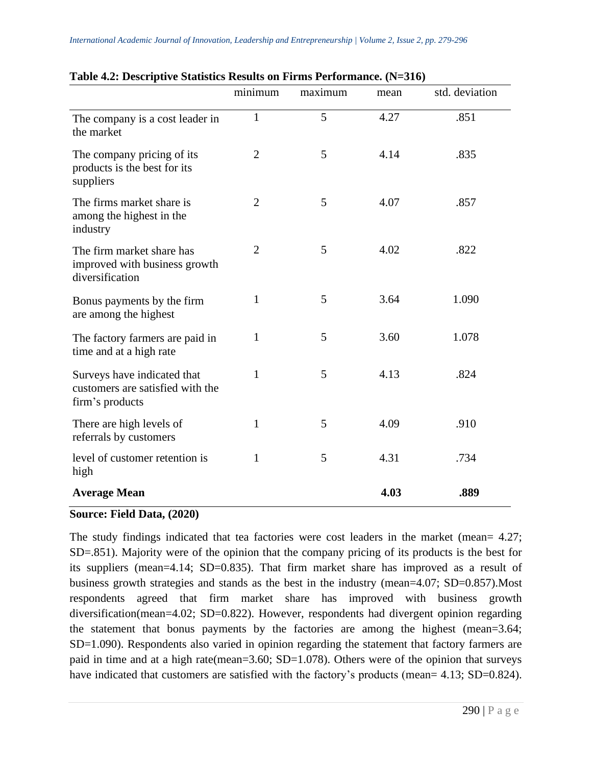|                                                                                    | minimum        | maximum | mean | std. deviation |
|------------------------------------------------------------------------------------|----------------|---------|------|----------------|
| The company is a cost leader in<br>the market                                      | $\mathbf{1}$   | 5       | 4.27 | .851           |
| The company pricing of its<br>products is the best for its<br>suppliers            | $\overline{2}$ | 5       | 4.14 | .835           |
| The firms market share is<br>among the highest in the<br>industry                  | 2              | 5       | 4.07 | .857           |
| The firm market share has<br>improved with business growth<br>diversification      | $\overline{2}$ | 5       | 4.02 | .822           |
| Bonus payments by the firm<br>are among the highest                                | $\mathbf{1}$   | 5       | 3.64 | 1.090          |
| The factory farmers are paid in<br>time and at a high rate                         | 1              | 5       | 3.60 | 1.078          |
| Surveys have indicated that<br>customers are satisfied with the<br>firm's products | 1              | 5       | 4.13 | .824           |
| There are high levels of<br>referrals by customers                                 | $\mathbf{1}$   | 5       | 4.09 | .910           |
| level of customer retention is<br>high                                             | 1              | 5       | 4.31 | .734           |
| <b>Average Mean</b>                                                                |                |         | 4.03 | .889           |

## **Table 4.2: Descriptive Statistics Results on Firms Performance. (N=316)**

## **Source: Field Data, (2020)**

The study findings indicated that tea factories were cost leaders in the market (mean= 4.27; SD=.851). Majority were of the opinion that the company pricing of its products is the best for its suppliers (mean=4.14; SD=0.835). That firm market share has improved as a result of business growth strategies and stands as the best in the industry (mean=4.07; SD=0.857).Most respondents agreed that firm market share has improved with business growth diversification(mean=4.02; SD=0.822). However, respondents had divergent opinion regarding the statement that bonus payments by the factories are among the highest (mean=3.64; SD=1.090). Respondents also varied in opinion regarding the statement that factory farmers are paid in time and at a high rate(mean=3.60; SD=1.078). Others were of the opinion that surveys have indicated that customers are satisfied with the factory's products (mean= 4.13; SD=0.824).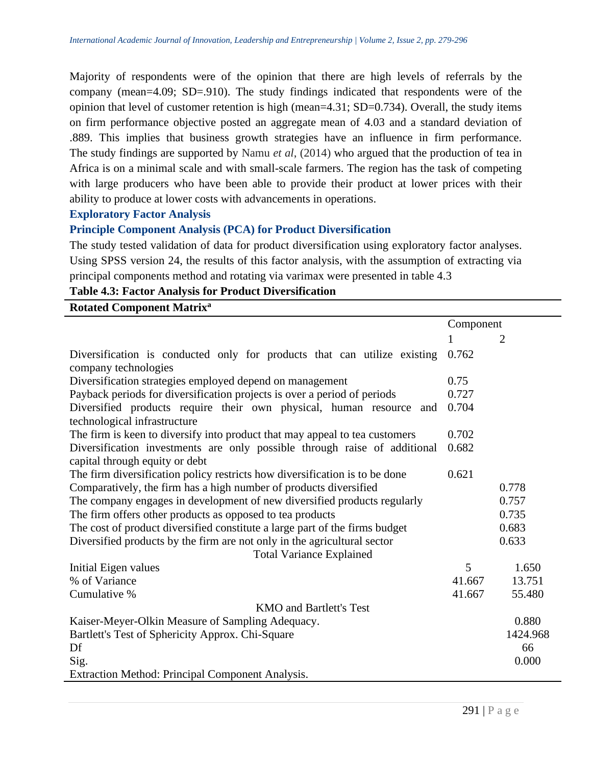Majority of respondents were of the opinion that there are high levels of referrals by the company (mean=4.09; SD=.910). The study findings indicated that respondents were of the opinion that level of customer retention is high (mean=4.31; SD=0.734). Overall, the study items on firm performance objective posted an aggregate mean of 4.03 and a standard deviation of .889. This implies that business growth strategies have an influence in firm performance. The study findings are supported by Namu *et al*, (2014) who argued that the production of tea in Africa is on a minimal scale and with small-scale farmers. The region has the task of competing with large producers who have been able to provide their product at lower prices with their ability to produce at lower costs with advancements in operations.

#### **Exploratory Factor Analysis**

#### **Principle Component Analysis (PCA) for Product Diversification**

The study tested validation of data for product diversification using exploratory factor analyses. Using SPSS version 24, the results of this factor analysis, with the assumption of extracting via principal components method and rotating via varimax were presented in table 4.3

**Table 4.3: Factor Analysis for Product Diversification**

| <b>Rotated Component Matrix<sup>a</sup></b>                                                                 |           |                |
|-------------------------------------------------------------------------------------------------------------|-----------|----------------|
|                                                                                                             | Component |                |
|                                                                                                             |           | $\overline{2}$ |
| Diversification is conducted only for products that can utilize existing<br>company technologies            | 0.762     |                |
| Diversification strategies employed depend on management                                                    | 0.75      |                |
| Payback periods for diversification projects is over a period of periods                                    | 0.727     |                |
| Diversified products require their own physical, human resource<br>and<br>technological infrastructure      | 0.704     |                |
| The firm is keen to diversify into product that may appeal to tea customers                                 | 0.702     |                |
| Diversification investments are only possible through raise of additional<br>capital through equity or debt | 0.682     |                |
| The firm diversification policy restricts how diversification is to be done                                 | 0.621     |                |
| Comparatively, the firm has a high number of products diversified                                           |           | 0.778          |
| The company engages in development of new diversified products regularly                                    |           | 0.757          |
| The firm offers other products as opposed to tea products                                                   |           | 0.735          |
| The cost of product diversified constitute a large part of the firms budget                                 |           | 0.683          |
| Diversified products by the firm are not only in the agricultural sector                                    | 0.633     |                |
| <b>Total Variance Explained</b>                                                                             |           |                |
| Initial Eigen values                                                                                        | 5         | 1.650          |
| % of Variance                                                                                               | 41.667    | 13.751         |
| Cumulative %                                                                                                | 41.667    | 55.480         |
| <b>KMO</b> and Bartlett's Test                                                                              |           |                |
| Kaiser-Meyer-Olkin Measure of Sampling Adequacy.                                                            |           | 0.880          |
| Bartlett's Test of Sphericity Approx. Chi-Square                                                            |           | 1424.968       |
| Df                                                                                                          |           | 66             |
| Sig.                                                                                                        |           | 0.000          |
| Extraction Method: Principal Component Analysis.                                                            |           |                |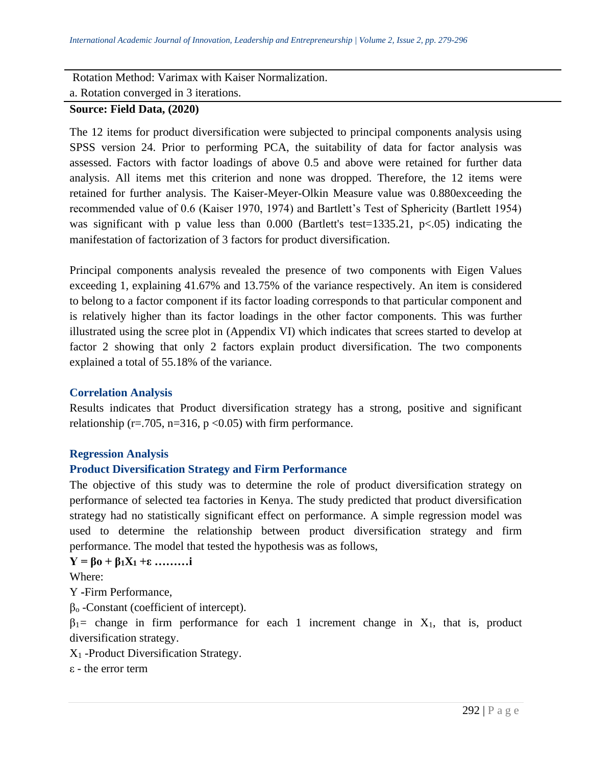Rotation Method: Varimax with Kaiser Normalization. a. Rotation converged in 3 iterations.

# **Source: Field Data, (2020)**

The 12 items for product diversification were subjected to principal components analysis using SPSS version 24. Prior to performing PCA, the suitability of data for factor analysis was assessed. Factors with factor loadings of above 0.5 and above were retained for further data analysis. All items met this criterion and none was dropped. Therefore, the 12 items were retained for further analysis. The Kaiser-Meyer-Olkin Measure value was 0.880exceeding the recommended value of 0.6 (Kaiser 1970, 1974) and Bartlett's Test of Sphericity (Bartlett 1954) was significant with p value less than  $0.000$  (Bartlett's test=1335.21, p<.05) indicating the manifestation of factorization of 3 factors for product diversification.

Principal components analysis revealed the presence of two components with Eigen Values exceeding 1, explaining 41.67% and 13.75% of the variance respectively. An item is considered to belong to a factor component if its factor loading corresponds to that particular component and is relatively higher than its factor loadings in the other factor components. This was further illustrated using the scree plot in (Appendix VI) which indicates that screes started to develop at factor 2 showing that only 2 factors explain product diversification. The two components explained a total of 55.18% of the variance.

# **Correlation Analysis**

Results indicates that Product diversification strategy has a strong, positive and significant relationship (r=.705, n=316, p <0.05) with firm performance.

# **Regression Analysis**

# **Product Diversification Strategy and Firm Performance**

The objective of this study was to determine the role of product diversification strategy on performance of selected tea factories in Kenya. The study predicted that product diversification strategy had no statistically significant effect on performance. A simple regression model was used to determine the relationship between product diversification strategy and firm performance. The model that tested the hypothesis was as follows,

**Y = βo + β1X<sup>1</sup> +ε ………i**

Where:

Y **-**Firm Performance,

 $β<sub>o</sub>$  -Constant (coefficient of intercept).

 $\beta_1$ = change in firm performance for each 1 increment change in X<sub>1</sub>, that is, product diversification strategy.

X<sup>1</sup> -Product Diversification Strategy.

ε - the error term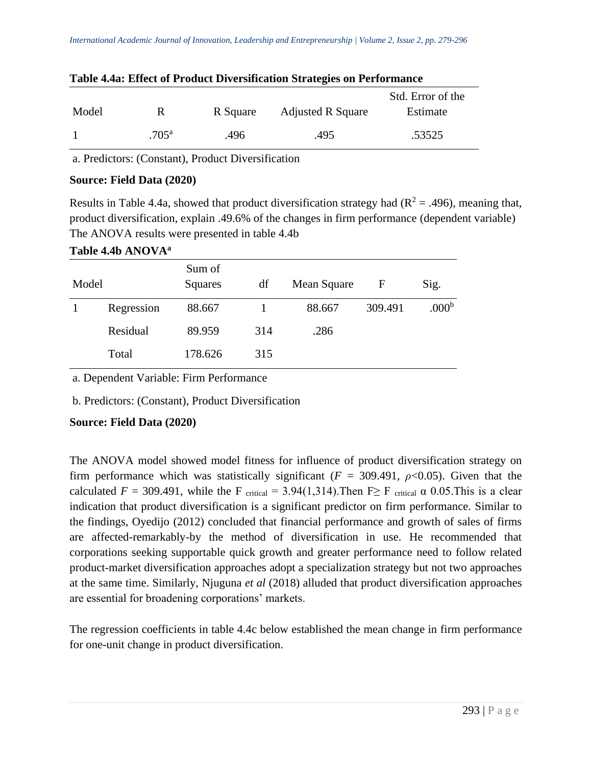|       |                |          |                          | Std. Error of the |
|-------|----------------|----------|--------------------------|-------------------|
| Model | R.             | R Square | <b>Adjusted R Square</b> | Estimate          |
|       | $.705^{\rm a}$ | .496     | .495                     | .53525            |

#### **Table 4.4a: Effect of Product Diversification Strategies on Performance**

a. Predictors: (Constant), Product Diversification

## **Source: Field Data (2020)**

Results in Table 4.4a, showed that product diversification strategy had  $(R^2 = .496)$ , meaning that, product diversification, explain .49.6% of the changes in firm performance (dependent variable) The ANOVA results were presented in table 4.4b

#### **Table 4.4b ANOVA<sup>a</sup>**

| Model |            | Sum of<br>Squares | df  | Mean Square | F       | Sig.              |
|-------|------------|-------------------|-----|-------------|---------|-------------------|
|       | Regression | 88.667            |     | 88.667      | 309.491 | .000 <sup>b</sup> |
|       | Residual   | 89.959            | 314 | .286        |         |                   |
|       | Total      | 178.626           | 315 |             |         |                   |

a. Dependent Variable: Firm Performance

b. Predictors: (Constant), Product Diversification

# **Source: Field Data (2020)**

The ANOVA model showed model fitness for influence of product diversification strategy on firm performance which was statistically significant ( $F = 309.491$ ,  $\rho < 0.05$ ). Given that the calculated  $F = 309.491$ , while the F critical = 3.94(1,314). Then F F critical  $\alpha$  0.05. This is a clear indication that product diversification is a significant predictor on firm performance. Similar to the findings, Oyedijo (2012) concluded that financial performance and growth of sales of firms are affected-remarkably-by the method of diversification in use. He recommended that corporations seeking supportable quick growth and greater performance need to follow related product-market diversification approaches adopt a specialization strategy but not two approaches at the same time. Similarly, Njuguna *et al* (2018) alluded that product diversification approaches are essential for broadening corporations' markets.

The regression coefficients in table 4.4c below established the mean change in firm performance for one-unit change in product diversification.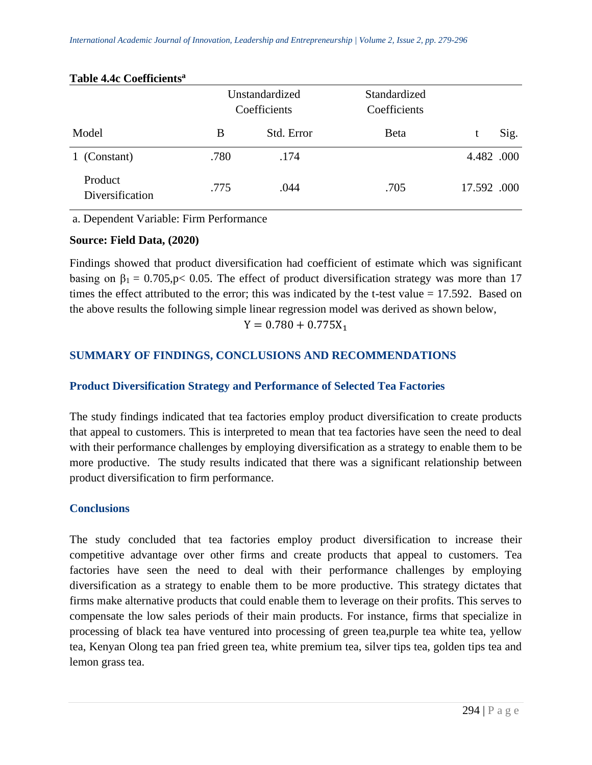|                            | Unstandardized<br>Coefficients |            | Standardized<br>Coefficients |             |      |
|----------------------------|--------------------------------|------------|------------------------------|-------------|------|
| Model                      | B                              | Std. Error | <b>B</b> eta                 |             | Sig. |
| (Constant)                 | .780                           | .174       |                              | 4.482 .000  |      |
| Product<br>Diversification | .775                           | .044       | .705                         | 17.592 .000 |      |

#### **Table 4.4c Coefficients<sup>a</sup>**

a. Dependent Variable: Firm Performance

#### **Source: Field Data, (2020)**

Findings showed that product diversification had coefficient of estimate which was significant basing on  $\beta_1 = 0.705$ , p< 0.05. The effect of product diversification strategy was more than 17 times the effect attributed to the error; this was indicated by the t-test value = 17.592. Based on the above results the following simple linear regression model was derived as shown below,

# $Y = 0.780 + 0.775X_1$

# **SUMMARY OF FINDINGS, CONCLUSIONS AND RECOMMENDATIONS**

## **Product Diversification Strategy and Performance of Selected Tea Factories**

The study findings indicated that tea factories employ product diversification to create products that appeal to customers. This is interpreted to mean that tea factories have seen the need to deal with their performance challenges by employing diversification as a strategy to enable them to be more productive. The study results indicated that there was a significant relationship between product diversification to firm performance.

## **Conclusions**

The study concluded that tea factories employ product diversification to increase their competitive advantage over other firms and create products that appeal to customers. Tea factories have seen the need to deal with their performance challenges by employing diversification as a strategy to enable them to be more productive. This strategy dictates that firms make alternative products that could enable them to leverage on their profits. This serves to compensate the low sales periods of their main products. For instance, firms that specialize in processing of black tea have ventured into processing of green tea,purple tea white tea, yellow tea, Kenyan Olong tea pan fried green tea, white premium tea, silver tips tea, golden tips tea and lemon grass tea.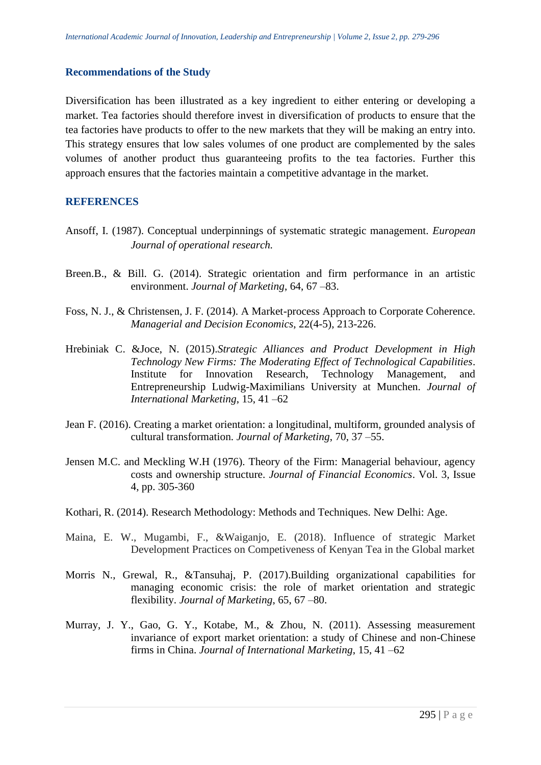#### **Recommendations of the Study**

Diversification has been illustrated as a key ingredient to either entering or developing a market. Tea factories should therefore invest in diversification of products to ensure that the tea factories have products to offer to the new markets that they will be making an entry into. This strategy ensures that low sales volumes of one product are complemented by the sales volumes of another product thus guaranteeing profits to the tea factories. Further this approach ensures that the factories maintain a competitive advantage in the market.

## **REFERENCES**

- Ansoff, I. (1987). Conceptual underpinnings of systematic strategic management. *European Journal of operational research.*
- Breen.B., & Bill. G. (2014). Strategic orientation and firm performance in an artistic environment. *Journal of Marketing*, 64, 67 –83.
- Foss, N. J., & Christensen, J. F. (2014). A Market-process Approach to Corporate Coherence. *Managerial and Decision Economics*, 22(4-5), 213-226.
- Hrebiniak C. &Joce, N. (2015).*Strategic Alliances and Product Development in High Technology New Firms: The Moderating Effect of Technological Capabilities*. Institute for Innovation Research, Technology Management, and Entrepreneurship Ludwig-Maximilians University at Munchen. *Journal of International Marketing*, 15, 41 –62
- Jean F. (2016). Creating a market orientation: a longitudinal, multiform, grounded analysis of cultural transformation. *Journal of Marketing*, 70, 37 –55.
- Jensen M.C. and Meckling W.H (1976). Theory of the Firm: Managerial behaviour, agency costs and ownership structure. *Journal of Financial Economics*. Vol. 3, Issue 4, pp. 305-360
- Kothari, R. (2014). Research Methodology: Methods and Techniques. New Delhi: Age.
- Maina, E. W., Mugambi, F., &Waiganjo, E. (2018). Influence of strategic Market Development Practices on Competiveness of Kenyan Tea in the Global market
- Morris N., Grewal, R., &Tansuhaj, P. (2017).Building organizational capabilities for managing economic crisis: the role of market orientation and strategic flexibility. *Journal of Marketing*, 65, 67 –80.
- Murray, J. Y., Gao, G. Y., Kotabe, M., & Zhou, N. (2011). Assessing measurement invariance of export market orientation: a study of Chinese and non-Chinese firms in China. *Journal of International Marketing*, 15, 41 –62